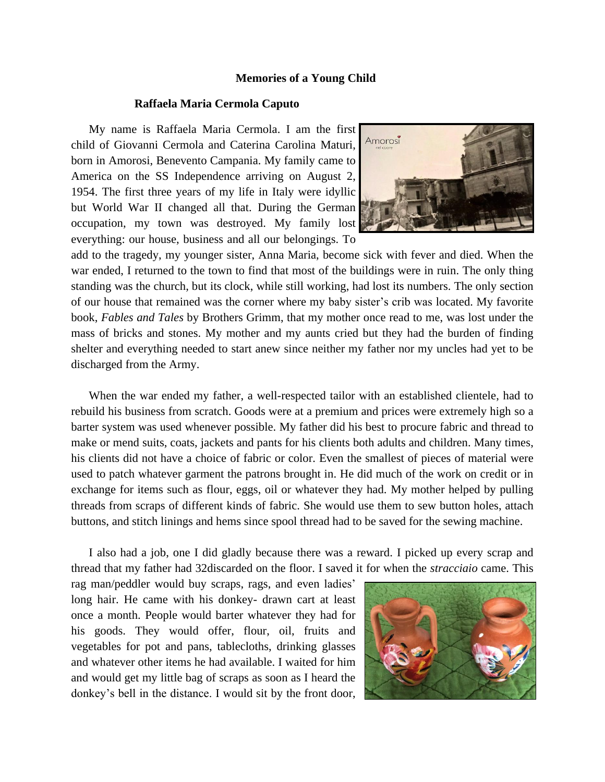## **Memories of a Young Child**

## **Raffaela Maria Cermola Caputo**

My name is Raffaela Maria Cermola. I am the first child of Giovanni Cermola and Caterina Carolina Maturi, born in Amorosi, Benevento Campania. My family came to America on the SS Independence arriving on August 2, 1954. The first three years of my life in Italy were idyllic but World War II changed all that. During the German occupation, my town was destroyed. My family lost everything: our house, business and all our belongings. To



add to the tragedy, my younger sister, Anna Maria, become sick with fever and died. When the war ended, I returned to the town to find that most of the buildings were in ruin. The only thing standing was the church, but its clock, while still working, had lost its numbers. The only section of our house that remained was the corner where my baby sister's crib was located. My favorite book, *Fables and Tales* by Brothers Grimm, that my mother once read to me, was lost under the mass of bricks and stones. My mother and my aunts cried but they had the burden of finding shelter and everything needed to start anew since neither my father nor my uncles had yet to be discharged from the Army.

When the war ended my father, a well-respected tailor with an established clientele, had to rebuild his business from scratch. Goods were at a premium and prices were extremely high so a barter system was used whenever possible. My father did his best to procure fabric and thread to make or mend suits, coats, jackets and pants for his clients both adults and children. Many times, his clients did not have a choice of fabric or color. Even the smallest of pieces of material were used to patch whatever garment the patrons brought in. He did much of the work on credit or in exchange for items such as flour, eggs, oil or whatever they had. My mother helped by pulling threads from scraps of different kinds of fabric. She would use them to sew button holes, attach buttons, and stitch linings and hems since spool thread had to be saved for the sewing machine.

I also had a job, one I did gladly because there was a reward. I picked up every scrap and thread that my father had 32discarded on the floor. I saved it for when the *stracciaio* came. This

rag man/peddler would buy scraps, rags, and even ladies' long hair. He came with his donkey- drawn cart at least once a month. People would barter whatever they had for his goods. They would offer, flour, oil, fruits and vegetables for pot and pans, tablecloths, drinking glasses and whatever other items he had available. I waited for him and would get my little bag of scraps as soon as I heard the donkey's bell in the distance. I would sit by the front door,